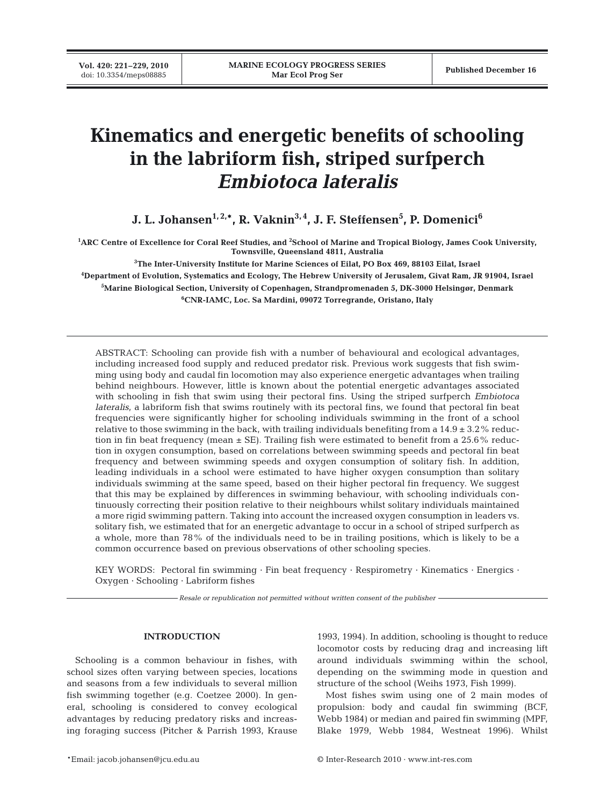# **Kinematics and energetic benefits of schooling in the labriform fish, striped surfperch** *Embiotoca lateralis*

**J. L. Johansen1, 2,\*, R. Vaknin3, 4, J. F. Steffensen5 , P. Domenici6**

**1 ARC Centre of Excellence for Coral Reef Studies, and 2 School of Marine and Tropical Biology, James Cook University, Townsville, Queensland 4811, Australia**

 **The Inter-University Institute for Marine Sciences of Eilat, PO Box 469, 88103 Eilat, Israel Department of Evolution, Systematics and Ecology, The Hebrew University of Jerusalem, Givat Ram, JR 91904, Israel Marine Biological Section, University of Copenhagen, Strandpromenaden 5, DK-3000 Helsingør, Denmark CNR-IAMC, Loc. Sa Mardini, 09072 Torregrande, Oristano, Italy**

ABSTRACT: Schooling can provide fish with a number of behavioural and ecological advantages, including increased food supply and reduced predator risk. Previous work suggests that fish swimming using body and caudal fin locomotion may also experience energetic advantages when trailing behind neighbours. However, little is known about the potential energetic advantages associated with schooling in fish that swim using their pectoral fins. Using the striped surfperch *Embiotoca lateralis*, a labriform fish that swims routinely with its pectoral fins, we found that pectoral fin beat frequencies were significantly higher for schooling individuals swimming in the front of a school relative to those swimming in the back, with trailing individuals benefiting from a  $14.9 \pm 3.2\%$  reduction in fin beat frequency (mean  $\pm$  SE). Trailing fish were estimated to benefit from a 25.6% reduction in oxygen consumption, based on correlations between swimming speeds and pectoral fin beat frequency and between swimming speeds and oxygen consumption of solitary fish. In addition, leading individuals in a school were estimated to have higher oxygen consumption than solitary individuals swimming at the same speed, based on their higher pectoral fin frequency. We suggest that this may be explained by differences in swimming behaviour, with schooling individuals continuously correcting their position relative to their neighbours whilst solitary individuals maintained a more rigid swimming pattern. Taking into account the increased oxygen consumption in leaders vs. solitary fish, we estimated that for an energetic advantage to occur in a school of striped surfperch as a whole, more than 78% of the individuals need to be in trailing positions, which is likely to be a common occurrence based on previous observations of other schooling species.

KEY WORDS: Pectoral fin swimming · Fin beat frequency · Respirometry · Kinematics · Energics · Oxygen · Schooling · Labriform fishes

*Resale or republication not permitted without written consent of the publisher*

# **INTRODUCTION**

Schooling is a common behaviour in fishes, with school sizes often varying between species, locations and seasons from a few individuals to several million fish swimming together (e.g. Coetzee 2000). In general, schooling is considered to convey ecological advantages by reducing predatory risks and increasing foraging success (Pitcher & Parrish 1993, Krause 1993, 1994). In addition, schooling is thought to reduce locomotor costs by reducing drag and increasing lift around individuals swimming within the school, depending on the swimming mode in question and structure of the school (Weihs 1973, Fish 1999).

Most fishes swim using one of 2 main modes of propulsion: body and caudal fin swimming (BCF, Webb 1984) or median and paired fin swimming (MPF, Blake 1979, Webb 1984, Westneat 1996). Whilst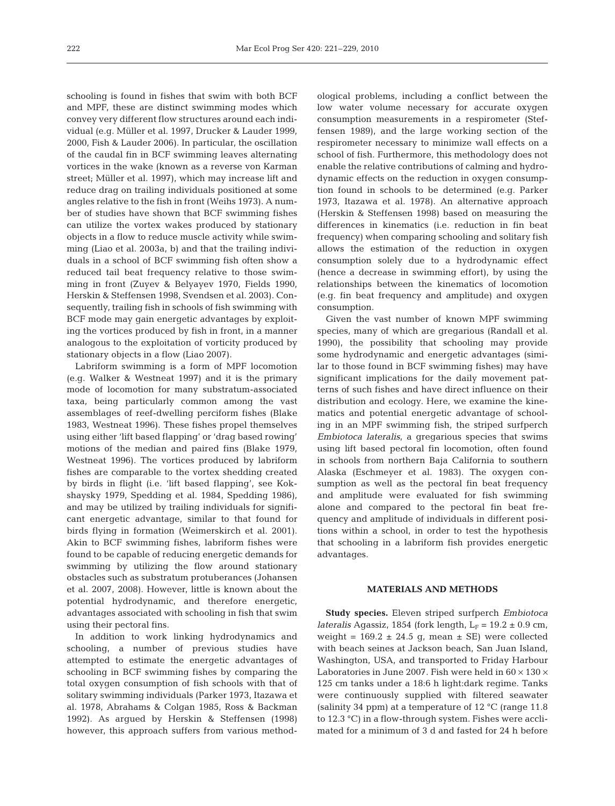schooling is found in fishes that swim with both BCF and MPF, these are distinct swimming modes which convey very different flow structures around each individual (e.g. Müller et al. 1997, Drucker & Lauder 1999, 2000, Fish & Lauder 2006). In particular, the oscillation of the caudal fin in BCF swimming leaves alternating vortices in the wake (known as a reverse von Karman street; Müller et al. 1997), which may increase lift and reduce drag on trailing individuals positioned at some angles relative to the fish in front (Weihs 1973). A number of studies have shown that BCF swimming fishes can utilize the vortex wakes produced by stationary objects in a flow to reduce muscle activity while swimming (Liao et al. 2003a, b) and that the trailing individuals in a school of BCF swimming fish often show a reduced tail beat frequency relative to those swimming in front (Zuyev & Belyayev 1970, Fields 1990, Herskin & Steffensen 1998, Svendsen et al. 2003). Consequently, trailing fish in schools of fish swimming with BCF mode may gain energetic advantages by exploiting the vortices produced by fish in front, in a manner analogous to the exploitation of vorticity produced by stationary objects in a flow (Liao 2007).

Labriform swimming is a form of MPF locomotion (e.g. Walker & Westneat 1997) and it is the primary mode of locomotion for many substratum-associated taxa, being particularly common among the vast assemblages of reef-dwelling perciform fishes (Blake 1983, Westneat 1996). These fishes propel themselves using either 'lift based flapping' or 'drag based rowing' motions of the median and paired fins (Blake 1979, Westneat 1996). The vortices produced by labriform fishes are comparable to the vortex shedding created by birds in flight (i.e. 'lift based flapping', see Kokshaysky 1979, Spedding et al. 1984, Spedding 1986), and may be utilized by trailing individuals for significant energetic advantage, similar to that found for birds flying in formation (Weimerskirch et al. 2001). Akin to BCF swimming fishes, labriform fishes were found to be capable of reducing energetic demands for swimming by utilizing the flow around stationary obstacles such as substratum protuberances (Johansen et al. 2007, 2008). However, little is known about the potential hydrodynamic, and therefore energetic, advantages associated with schooling in fish that swim using their pectoral fins.

In addition to work linking hydrodynamics and schooling, a number of previous studies have attempted to estimate the energetic advantages of schooling in BCF swimming fishes by comparing the total oxygen consumption of fish schools with that of solitary swimming individuals (Parker 1973, Itazawa et al. 1978, Abrahams & Colgan 1985, Ross & Backman 1992). As argued by Herskin & Steffensen (1998) however, this approach suffers from various methodological problems, including a conflict between the low water volume necessary for accurate oxygen consumption measurements in a respirometer (Steffensen 1989), and the large working section of the respirometer necessary to minimize wall effects on a school of fish. Furthermore, this methodology does not enable the relative contributions of calming and hydrodynamic effects on the reduction in oxygen consumption found in schools to be determined (e.g. Parker 1973, Itazawa et al. 1978). An alternative approach (Herskin & Steffensen 1998) based on measuring the differences in kinematics (i.e. reduction in fin beat frequency) when comparing schooling and solitary fish allows the estimation of the reduction in oxygen consumption solely due to a hydrodynamic effect (hence a decrease in swimming effort), by using the relationships between the kinematics of locomotion (e.g. fin beat frequency and amplitude) and oxygen consumption.

Given the vast number of known MPF swimming species, many of which are gregarious (Randall et al. 1990), the possibility that schooling may provide some hydrodynamic and energetic advantages (similar to those found in BCF swimming fishes) may have significant implications for the daily movement patterns of such fishes and have direct influence on their distribution and ecology. Here, we examine the kinematics and potential energetic advantage of schooling in an MPF swimming fish, the striped surfperch *Embiotoca lateralis*, a gregarious species that swims using lift based pectoral fin locomotion, often found in schools from northern Baja California to southern Alaska (Eschmeyer et al. 1983). The oxygen consumption as well as the pectoral fin beat frequency and amplitude were evaluated for fish swimming alone and compared to the pectoral fin beat frequency and amplitude of individuals in different positions within a school, in order to test the hypothesis that schooling in a labriform fish provides energetic advantages.

# **MATERIALS AND METHODS**

**Study species.** Eleven striped surfperch *Embiotoca lateralis* Agassiz, 1854 (fork length,  $L_F = 19.2 \pm 0.9$  cm, weight =  $169.2 \pm 24.5$  g, mean  $\pm$  SE) were collected with beach seines at Jackson beach, San Juan Island, Washington, USA, and transported to Friday Harbour Laboratories in June 2007. Fish were held in  $60 \times 130 \times$ 125 cm tanks under a 18:6 h light:dark regime. Tanks were continuously supplied with filtered seawater (salinity 34 ppm) at a temperature of 12 °C (range 11.8 to 12.3 °C) in a flow-through system. Fishes were acclimated for a minimum of 3 d and fasted for 24 h before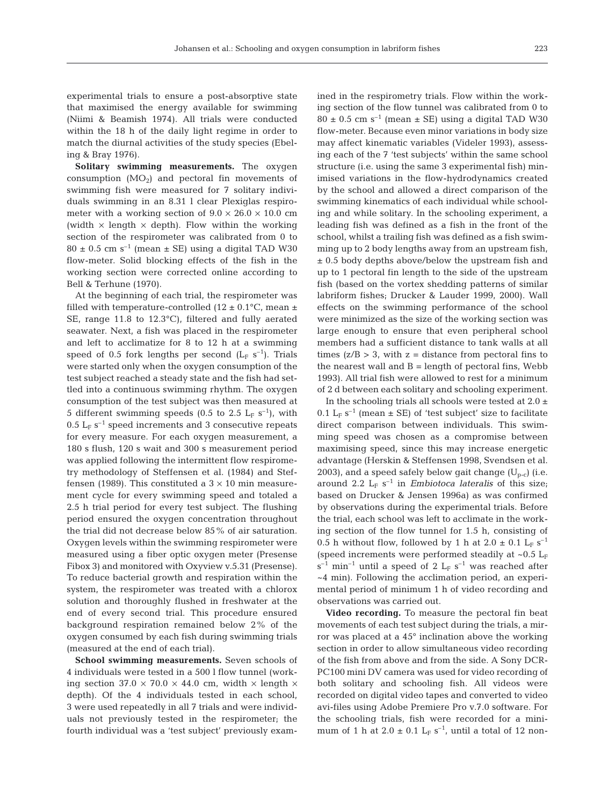experimental trials to ensure a post-absorptive state that maximised the energy available for swimming (Niimi & Beamish 1974). All trials were conducted within the 18 h of the daily light regime in order to match the diurnal activities of the study species (Ebeling & Bray 1976).

**Solitary swimming measurements.** The oxygen consumption  $(MO<sub>2</sub>)$  and pectoral fin movements of swimming fish were measured for 7 solitary individuals swimming in an 8.31 l clear Plexiglas respirometer with a working section of  $9.0 \times 26.0 \times 10.0$  cm (width  $\times$  length  $\times$  depth). Flow within the working section of the respirometer was calibrated from 0 to  $80 \pm 0.5$  cm s<sup>-1</sup> (mean  $\pm$  SE) using a digital TAD W30 flow-meter. Solid blocking effects of the fish in the working section were corrected online according to Bell & Terhune (1970).

At the beginning of each trial, the respirometer was filled with temperature-controlled (12  $\pm$  0.1°C, mean  $\pm$ SE, range 11.8 to 12.3°C), filtered and fully aerated seawater. Next, a fish was placed in the respirometer and left to acclimatize for 8 to 12 h at a swimming speed of 0.5 fork lengths per second  $(L_F s^{-1})$ . Trials were started only when the oxygen consumption of the test subject reached a steady state and the fish had settled into a continuous swimming rhythm. The oxygen consumption of the test subject was then measured at 5 different swimming speeds (0.5 to 2.5  $L_F$  s<sup>-1</sup>), with 0.5  $L_F$  s<sup>-1</sup> speed increments and 3 consecutive repeats for every measure. For each oxygen measurement, a 180 s flush, 120 s wait and 300 s measurement period was applied following the intermittent flow respirometry methodology of Steffensen et al. (1984) and Steffensen (1989). This constituted a  $3 \times 10$  min measurement cycle for every swimming speed and totaled a 2.5 h trial period for every test subject. The flushing period ensured the oxygen concentration throughout the trial did not decrease below 85% of air saturation. Oxygen levels within the swimming respirometer were measured using a fiber optic oxygen meter (Presense Fibox 3) and monitored with Oxyview v.5.31 (Presense). To reduce bacterial growth and respiration within the system, the respirometer was treated with a chlorox solution and thoroughly flushed in freshwater at the end of every second trial. This procedure ensured background respiration remained below 2% of the oxygen consumed by each fish during swimming trials (measured at the end of each trial).

**School swimming measurements.** Seven schools of 4 individuals were tested in a 500 l flow tunnel (working section  $37.0 \times 70.0 \times 44.0$  cm, width  $\times$  length  $\times$ depth). Of the 4 individuals tested in each school, 3 were used repeatedly in all 7 trials and were individuals not previously tested in the respirometer; the fourth individual was a 'test subject' previously examined in the respirometry trials. Flow within the working section of the flow tunnel was calibrated from 0 to  $80 \pm 0.5$  cm s<sup>-1</sup> (mean  $\pm$  SE) using a digital TAD W30 flow-meter. Because even minor variations in body size may affect kinematic variables (Videler 1993), assessing each of the 7 'test subjects' within the same school structure (i.e. using the same 3 experimental fish) minimised variations in the flow-hydrodynamics created by the school and allowed a direct comparison of the swimming kinematics of each individual while schooling and while solitary. In the schooling experiment, a leading fish was defined as a fish in the front of the school, whilst a trailing fish was defined as a fish swimming up to 2 body lengths away from an upstream fish, ± 0.5 body depths above/below the upstream fish and up to 1 pectoral fin length to the side of the upstream fish (based on the vortex shedding patterns of similar labriform fishes; Drucker & Lauder 1999, 2000). Wall effects on the swimming performance of the school were minimized as the size of the working section was large enough to ensure that even peripheral school members had a sufficient distance to tank walls at all times  $(z/B > 3$ , with  $z =$  distance from pectoral fins to the nearest wall and  $B = \text{length}$  of pectoral fins, Webb 1993). All trial fish were allowed to rest for a minimum of 2 d between each solitary and schooling experiment.

In the schooling trials all schools were tested at  $2.0 \pm$ 0.1  $L_F$  s<sup>-1</sup> (mean  $\pm$  SE) of 'test subject' size to facilitate direct comparison between individuals. This swimming speed was chosen as a compromise between maximising speed, since this may increase energetic advantage (Herskin & Steffensen 1998, Svendsen et al. 2003), and a speed safely below gait change  $(U_{p-c})$  (i.e. around 2.2  $L_F s^{-1}$  in *Embiotoca lateralis* of this size; based on Drucker & Jensen 1996a) as was confirmed by observations during the experimental trials. Before the trial, each school was left to acclimate in the working section of the flow tunnel for 1.5 h, consisting of 0.5 h without flow, followed by 1 h at 2.0  $\pm$  0.1 L<sub>F</sub> s<sup>-1</sup> (speed increments were performed steadily at  $\sim 0.5$  L<sub>F</sub>  $s^{-1}$  min<sup>-1</sup> until a speed of 2 L<sub>F</sub> s<sup>-1</sup> was reached after ~4 min). Following the acclimation period, an experimental period of minimum 1 h of video recording and observations was carried out.

**Video recording.** To measure the pectoral fin beat movements of each test subject during the trials, a mirror was placed at a 45° inclination above the working section in order to allow simultaneous video recording of the fish from above and from the side. A Sony DCR-PC100 mini DV camera was used for video recording of both solitary and schooling fish. All videos were recorded on digital video tapes and converted to video avi-files using Adobe Premiere Pro v.7.0 software. For the schooling trials, fish were recorded for a minimum of 1 h at  $2.0 \pm 0.1$  L<sub>F</sub> s<sup>-1</sup>, until a total of 12 non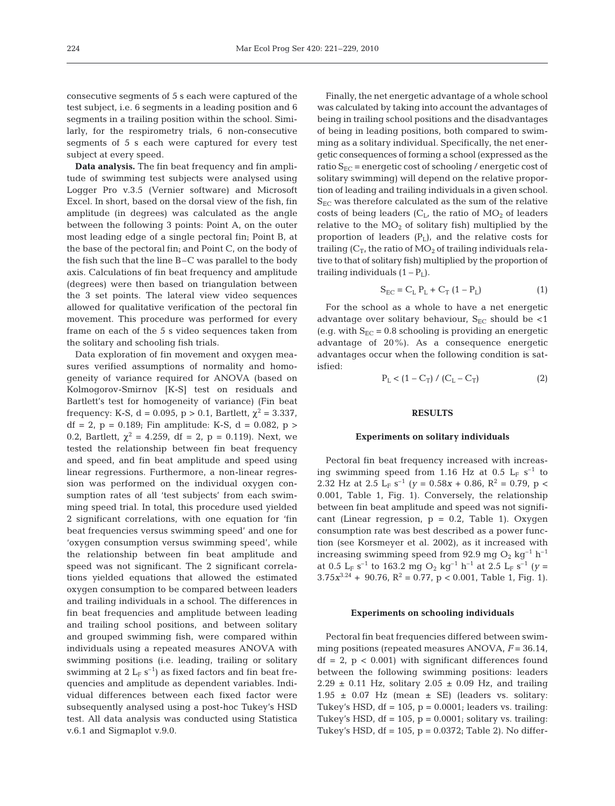consecutive segments of 5 s each were captured of the test subject, i.e. 6 segments in a leading position and 6 segments in a trailing position within the school. Similarly, for the respirometry trials, 6 non-consecutive segments of 5 s each were captured for every test subject at every speed.

**Data analysis.** The fin beat frequency and fin amplitude of swimming test subjects were analysed using Logger Pro v.3.5 (Vernier software) and Microsoft Excel. In short, based on the dorsal view of the fish, fin amplitude (in degrees) was calculated as the angle between the following 3 points: Point A, on the outer most leading edge of a single pectoral fin; Point B, at the base of the pectoral fin; and Point C, on the body of the fish such that the line B–C was parallel to the body axis. Calculations of fin beat frequency and amplitude (degrees) were then based on triangulation between the 3 set points. The lateral view video sequences allowed for qualitative verification of the pectoral fin movement. This procedure was performed for every frame on each of the 5 s video sequences taken from the solitary and schooling fish trials.

Data exploration of fin movement and oxygen measures verified assumptions of normality and homogeneity of variance required for ANOVA (based on Kolmogorov-Smirnov [K-S] test on residuals and Bartlett's test for homogeneity of variance) (Fin beat frequency: K-S, d = 0.095, p > 0.1, Bartlett,  $χ² = 3.337$ , df = 2, p = 0.189; Fin amplitude: K-S, d = 0.082, p > 0.2, Bartlett,  $\chi^2 = 4.259$ , df = 2, p = 0.119). Next, we tested the relationship between fin beat frequency and speed, and fin beat amplitude and speed using linear regressions. Furthermore, a non-linear regression was performed on the individual oxygen consumption rates of all 'test subjects' from each swimming speed trial. In total, this procedure used yielded 2 significant correlations, with one equation for 'fin beat frequencies versus swimming speed' and one for 'oxygen consumption versus swimming speed', while the relationship between fin beat amplitude and speed was not significant. The 2 significant correlations yielded equations that allowed the estimated oxygen consumption to be compared between leaders and trailing individuals in a school. The differences in fin beat frequencies and amplitude between leading and trailing school positions, and between solitary and grouped swimming fish, were compared within individuals using a repeated measures ANOVA with swimming positions (i.e. leading, trailing or solitary swimming at 2  $L_F$  s<sup>-1</sup>) as fixed factors and fin beat frequencies and amplitude as dependent variables. Individual differences between each fixed factor were subsequently analysed using a post-hoc Tukey's HSD test. All data analysis was conducted using Statistica v.6.1 and Sigmaplot v.9.0.

Finally, the net energetic advantage of a whole school was calculated by taking into account the advantages of being in trailing school positions and the disadvantages of being in leading positions, both compared to swimming as a solitary individual. Specifically, the net energetic consequences of forming a school (expressed as the ratio  $S_{EC}$  = energetic cost of schooling / energetic cost of solitary swimming) will depend on the relative proportion of leading and trailing individuals in a given school.  $S_{EC}$  was therefore calculated as the sum of the relative costs of being leaders  $(C_L)$ , the ratio of  $MO_2$  of leaders relative to the  $MO<sub>2</sub>$  of solitary fish) multiplied by the proportion of leaders  $(P<sub>1</sub>)$ , and the relative costs for trailing  $(C_T$ , the ratio of  $MO_2$  of trailing individuals relative to that of solitary fish) multiplied by the proportion of trailing individuals  $(1 - P_L)$ .

$$
S_{EC} = C_{L} P_{L} + C_{T} (1 - P_{L})
$$
 (1)

For the school as a whole to have a net energetic advantage over solitary behaviour,  $S_{EC}$  should be <1 (e.g. with  $S_{EC} = 0.8$  schooling is providing an energetic advantage of 20%). As a consequence energetic advantages occur when the following condition is satisfied:

$$
P_{L} < (1 - C_{T}) / (C_{L} - C_{T})
$$
 (2)

### **RESULTS**

#### **Experiments on solitary individuals**

Pectoral fin beat frequency increased with increasing swimming speed from 1.16 Hz at 0.5  $L_F$  s<sup>-1</sup> to 2.32 Hz at 2.5  $L_F$  s<sup>-1</sup> (*y* = 0.58*x* + 0.86, R<sup>2</sup> = 0.79, p < 0.001, Table 1, Fig. 1). Conversely, the relationship between fin beat amplitude and speed was not significant (Linear regression,  $p = 0.2$ , Table 1). Oxygen consumption rate was best described as a power function (see Korsmeyer et al. 2002), as it increased with increasing swimming speed from 92.9 mg  $O_2$  kg<sup>-1</sup> h<sup>-1</sup> at 0.5 L<sub>F</sub> s<sup>-1</sup> to 163.2 mg O<sub>2</sub> kg<sup>-1</sup> h<sup>-1</sup> at 2.5 L<sub>F</sub> s<sup>-1</sup> (*y* =  $3.75x^{3.24} + 90.76$ ,  $R^2 = 0.77$ ,  $p < 0.001$ , Table 1, Fig. 1).

#### **Experiments on schooling individuals**

Pectoral fin beat frequencies differed between swimming positions (repeated measures ANOVA, *F* = 36.14,  $df = 2$ ,  $p < 0.001$ ) with significant differences found between the following swimming positions: leaders  $2.29 \pm 0.11$  Hz, solitary  $2.05 \pm 0.09$  Hz, and trailing  $1.95 \pm 0.07$  Hz (mean  $\pm$  SE) (leaders vs. solitary: Tukey's HSD,  $df = 105$ ,  $p = 0.0001$ ; leaders vs. trailing: Tukey's HSD,  $df = 105$ ,  $p = 0.0001$ ; solitary vs. trailing: Tukey's HSD,  $df = 105$ ,  $p = 0.0372$ ; Table 2). No differ-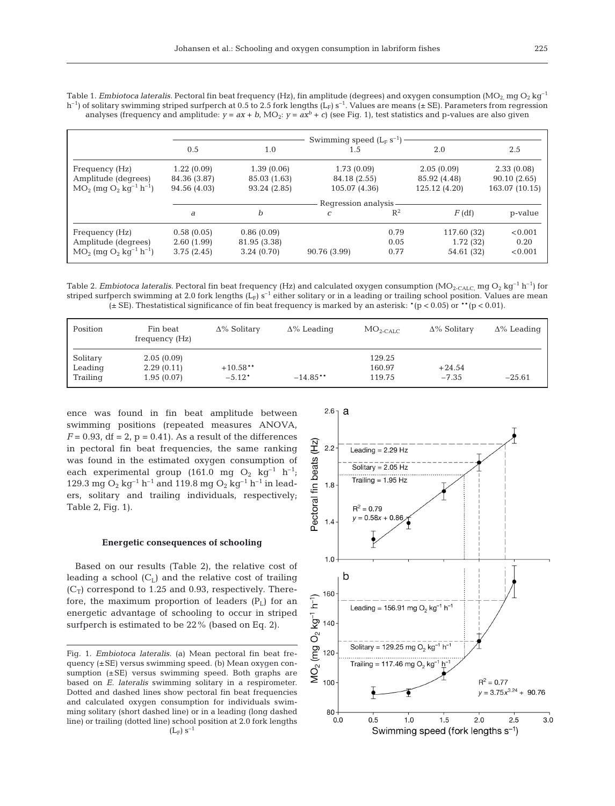Table 1. *Embiotoca lateralis.* Pectoral fin beat frequency (Hz), fin amplitude (degrees) and oxygen consumption (MO<sub>2</sub> mg O<sub>2</sub> kg<sup>-1</sup>) h<sup>-1</sup>) of solitary swimming striped surfperch at 0.5 to 2.5 fork lengths (L<sub>F</sub>) s<sup>-1</sup>. Values are means ( $\pm$  SE). Parameters from regression analyses (frequency and amplitude:  $y = ax + b$ , MO<sub>2</sub>:  $y = ax^b + c$ ) (see Fig. 1), test statistics and p-values are also given

|                                                     | Swimming speed $(L_F s^{-1})$ |              |               |       |               |                |  |  |
|-----------------------------------------------------|-------------------------------|--------------|---------------|-------|---------------|----------------|--|--|
|                                                     | 0.5                           | 1.0          | 1.5           |       | 2.0           | 2.5            |  |  |
| Frequency (Hz)                                      | 1.22(0.09)                    | 1.39(0.06)   | 1.73(0.09)    |       | 2.05(0.09)    | 2.33(0.08)     |  |  |
| Amplitude (degrees)                                 | 84.36 (3.87)                  | 85.03 (1.63) | 84.18 (2.55)  |       | 85.92 (4.48)  | 90.10(2.65)    |  |  |
| $MO_2$ (mg $O_2$ kg <sup>-1</sup> h <sup>-1</sup> ) | 94.56 (4.03)                  | 93.24 (2.85) | 105.07 (4.36) |       | 125.12 (4.20) | 163.07 (10.15) |  |  |
|                                                     | Regression analysis           |              |               |       |               |                |  |  |
|                                                     | a                             | b            | C             | $R^2$ | $F$ (df)      | p-value        |  |  |
| Frequency (Hz)                                      | 0.58(0.05)                    | 0.86(0.09)   |               | 0.79  | 117.60 (32)   | < 0.001        |  |  |
| Amplitude (degrees)                                 | 2.60(1.99)                    | 81.95 (3.38) |               | 0.05  | 1.72(32)      | 0.20           |  |  |
| $MO_2$ (mg $O_2$ kg <sup>-1</sup> h <sup>-1</sup> ) | 3.75(2.45)                    | 3.24(0.70)   | 90.76 (3.99)  | 0.77  | 54.61 (32)    | < 0.001        |  |  |

Table 2. *Embiotoca lateralis.* Pectoral fin beat frequency (Hz) and calculated oxygen consumption (MO<sub>2-CALC</sub>, mg O<sub>2</sub> kg<sup>-1</sup> h<sup>-1</sup>) for striped surfperch swimming at 2.0 fork lengths  $(L_F)$  s<sup>-1</sup> either solitary or in a leading or trailing school position. Values are mean ( $\pm$  SE). Thestatistical significance of fin beat frequency is marked by an asterisk:  $*(p < 0.05)$  or  $** (p < 0.01)$ .

| Position | Fin beat<br>frequency (Hz) | $\Delta\%$ Solitary | $\Delta\%$ Leading | $MO_{2,CALC}$ | $\Delta\%$ Solitary | $\Delta\%$ Leading |
|----------|----------------------------|---------------------|--------------------|---------------|---------------------|--------------------|
| Solitary | 2.05(0.09)                 |                     |                    | 129.25        |                     |                    |
| Leading  | 2.29(0.11)                 | $+10.58**$          |                    | 160.97        | $+24.54$            |                    |
| Trailing | 1.95(0.07)                 | $-5.12*$            | $-14.85**$         | 119.75        | $-7.35$             | $-25.61$           |

ence was found in fin beat amplitude between swimming positions (repeated measures ANOVA,  $F = 0.93$ , df = 2, p = 0.41). As a result of the differences in pectoral fin beat frequencies, the same ranking was found in the estimated oxygen consumption of each experimental group (161.0 mg  $O_2$  kg<sup>-1</sup> h<sup>-1</sup>; 129.3 mg  $O_2$  kg<sup>-1</sup> h<sup>-1</sup> and 119.8 mg  $O_2$  kg<sup>-1</sup> h<sup>-1</sup> in leaders, solitary and trailing individuals, respectively; Table 2, Fig. 1).

#### **Energetic consequences of schooling**

Based on our results (Table 2), the relative cost of leading a school  $(C_L)$  and the relative cost of trailing  $(C_T)$  correspond to 1.25 and 0.93, respectively. Therefore, the maximum proportion of leaders  $(P_L)$  for an energetic advantage of schooling to occur in striped surfperch is estimated to be 22% (based on Eq. 2).

Fig. 1. *Embiotoca lateralis.* (a) Mean pectoral fin beat frequency (±SE) versus swimming speed. (b) Mean oxygen consumption  $(\pm SE)$  versus swimming speed. Both graphs are based on *E. lateralis* swimming solitary in a respirometer. Dotted and dashed lines show pectoral fin beat frequencies and calculated oxygen consumption for individuals swimming solitary (short dashed line) or in a leading (long dashed line) or trailing (dotted line) school position at 2.0 fork lengths  $(L_F)$  s<sup>-1</sup>

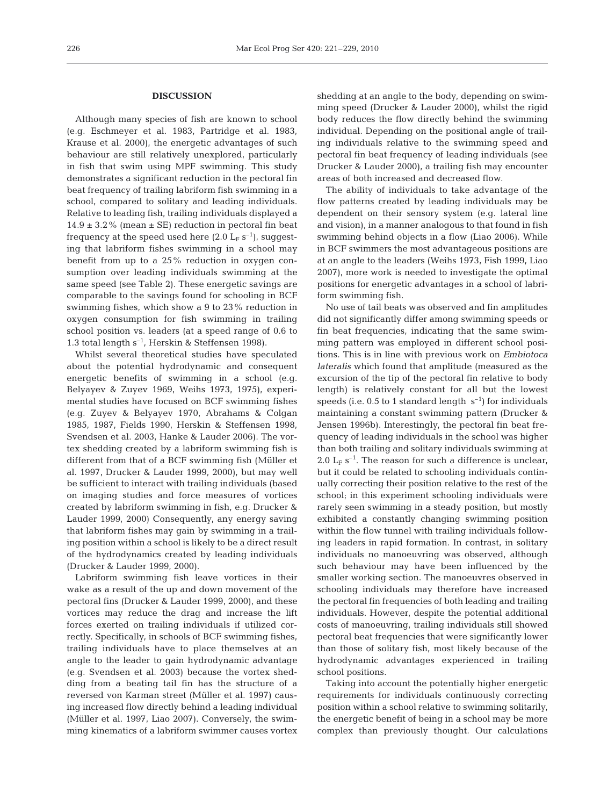# **DISCUSSION**

Although many species of fish are known to school (e.g. Eschmeyer et al. 1983, Partridge et al. 1983, Krause et al. 2000), the energetic advantages of such behaviour are still relatively unexplored, particularly in fish that swim using MPF swimming. This study demonstrates a significant reduction in the pectoral fin beat frequency of trailing labriform fish swimming in a school, compared to solitary and leading individuals. Relative to leading fish, trailing individuals displayed a  $14.9 \pm 3.2\%$  (mean  $\pm$  SE) reduction in pectoral fin beat frequency at the speed used here  $(2.0 \text{ L}_F \text{ s}^{-1})$ , suggesting that labriform fishes swimming in a school may benefit from up to a 25% reduction in oxygen consumption over leading individuals swimming at the same speed (see Table 2). These energetic savings are comparable to the savings found for schooling in BCF swimming fishes, which show a 9 to 23% reduction in oxygen consumption for fish swimming in trailing school position vs. leaders (at a speed range of 0.6 to 1.3 total length  $s^{-1}$ , Herskin & Steffensen 1998).

Whilst several theoretical studies have speculated about the potential hydrodynamic and consequent energetic benefits of swimming in a school (e.g. Belyayev & Zuyev 1969, Weihs 1973, 1975), experimental studies have focused on BCF swimming fishes (e.g. Zuyev & Belyayev 1970, Abrahams & Colgan 1985, 1987, Fields 1990, Herskin & Steffensen 1998, Svendsen et al. 2003, Hanke & Lauder 2006). The vortex shedding created by a labriform swimming fish is different from that of a BCF swimming fish (Müller et al. 1997, Drucker & Lauder 1999, 2000), but may well be sufficient to interact with trailing individuals (based on imaging studies and force measures of vortices created by labriform swimming in fish, e.g. Drucker & Lauder 1999, 2000) Consequently, any energy saving that labriform fishes may gain by swimming in a trailing position within a school is likely to be a direct result of the hydrodynamics created by leading individuals (Drucker & Lauder 1999, 2000).

Labriform swimming fish leave vortices in their wake as a result of the up and down movement of the pectoral fins (Drucker & Lauder 1999, 2000), and these vortices may reduce the drag and increase the lift forces exerted on trailing individuals if utilized correctly. Specifically, in schools of BCF swimming fishes, trailing individuals have to place themselves at an angle to the leader to gain hydrodynamic advantage (e.g. Svendsen et al. 2003) because the vortex shedding from a beating tail fin has the structure of a reversed von Karman street (Müller et al. 1997) causing increased flow directly behind a leading individual (Müller et al. 1997, Liao 2007). Conversely, the swimming kinematics of a labriform swimmer causes vortex

shedding at an angle to the body, depending on swimming speed (Drucker & Lauder 2000), whilst the rigid body reduces the flow directly behind the swimming individual. Depending on the positional angle of trailing individuals relative to the swimming speed and pectoral fin beat frequency of leading individuals (see Drucker & Lauder 2000), a trailing fish may encounter areas of both increased and decreased flow.

The ability of individuals to take advantage of the flow patterns created by leading individuals may be dependent on their sensory system (e.g. lateral line and vision), in a manner analogous to that found in fish swimming behind objects in a flow (Liao 2006). While in BCF swimmers the most advantageous positions are at an angle to the leaders (Weihs 1973, Fish 1999, Liao 2007), more work is needed to investigate the optimal positions for energetic advantages in a school of labriform swimming fish.

No use of tail beats was observed and fin amplitudes did not significantly differ among swimming speeds or fin beat frequencies, indicating that the same swimming pattern was employed in different school positions. This is in line with previous work on *Embiotoca lateralis* which found that amplitude (measured as the excursion of the tip of the pectoral fin relative to body length) is relatively constant for all but the lowest speeds (i.e. 0.5 to 1 standard length  $s^{-1}$ ) for individuals maintaining a constant swimming pattern (Drucker & Jensen 1996b). Interestingly, the pectoral fin beat frequency of leading individuals in the school was higher than both trailing and solitary individuals swimming at 2.0  $L_F$  s<sup>-1</sup>. The reason for such a difference is unclear, but it could be related to schooling individuals continually correcting their position relative to the rest of the school; in this experiment schooling individuals were rarely seen swimming in a steady position, but mostly exhibited a constantly changing swimming position within the flow tunnel with trailing individuals following leaders in rapid formation. In contrast, in solitary individuals no manoeuvring was observed, although such behaviour may have been influenced by the smaller working section. The manoeuvres observed in schooling individuals may therefore have increased the pectoral fin frequencies of both leading and trailing individuals. However, despite the potential additional costs of manoeuvring, trailing individuals still showed pectoral beat frequencies that were significantly lower than those of solitary fish, most likely because of the hydrodynamic advantages experienced in trailing school positions.

Taking into account the potentially higher energetic requirements for individuals continuously correcting position within a school relative to swimming solitarily, the energetic benefit of being in a school may be more complex than previously thought. Our calculations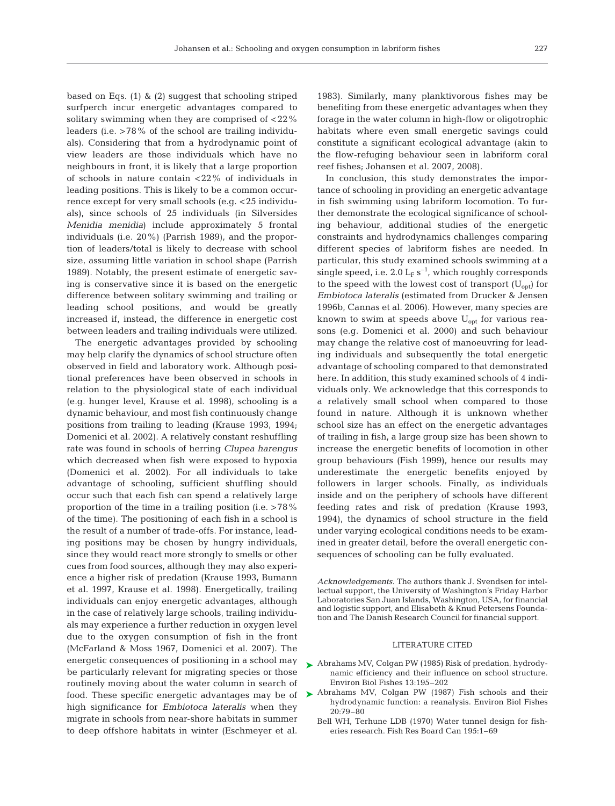based on Eqs. (1) & (2) suggest that schooling striped surfperch incur energetic advantages compared to solitary swimming when they are comprised of <22% leaders (i.e. >78% of the school are trailing individuals). Considering that from a hydrodynamic point of view leaders are those individuals which have no neighbours in front, it is likely that a large proportion of schools in nature contain <22% of individuals in leading positions. This is likely to be a common occurrence except for very small schools (e.g. <25 individuals), since schools of 25 individuals (in Silversides *Menidia menidia*) include approximately 5 frontal individuals (i.e. 20%) (Parrish 1989), and the proportion of leaders/total is likely to decrease with school size, assuming little variation in school shape (Parrish 1989). Notably, the present estimate of energetic saving is conservative since it is based on the energetic difference between solitary swimming and trailing or leading school positions, and would be greatly increased if, instead, the difference in energetic cost between leaders and trailing individuals were utilized.

The energetic advantages provided by schooling may help clarify the dynamics of school structure often observed in field and laboratory work. Although positional preferences have been observed in schools in relation to the physiological state of each individual (e.g. hunger level, Krause et al. 1998), schooling is a dynamic behaviour, and most fish continuously change positions from trailing to leading (Krause 1993, 1994; Domenici et al. 2002). A relatively constant reshuffling rate was found in schools of herring *Clupea harengus* which decreased when fish were exposed to hypoxia (Domenici et al. 2002). For all individuals to take advantage of schooling, sufficient shuffling should occur such that each fish can spend a relatively large proportion of the time in a trailing position (i.e. >78% of the time). The positioning of each fish in a school is the result of a number of trade-offs. For instance, leading positions may be chosen by hungry individuals, since they would react more strongly to smells or other cues from food sources, although they may also experience a higher risk of predation (Krause 1993, Bumann et al. 1997, Krause et al. 1998). Energetically, trailing individuals can enjoy energetic advantages, although in the case of relatively large schools, trailing individuals may experience a further reduction in oxygen level due to the oxygen consumption of fish in the front (McFarland & Moss 1967, Domenici et al. 2007). The energetic consequences of positioning in a school may be particularly relevant for migrating species or those routinely moving about the water column in search of food. These specific energetic advantages may be of high significance for *Embiotoca lateralis* when they migrate in schools from near-shore habitats in summer to deep offshore habitats in winter (Eschmeyer et al.

1983). Similarly, many planktivorous fishes may be benefiting from these energetic advantages when they forage in the water column in high-flow or oligotrophic habitats where even small energetic savings could constitute a significant ecological advantage (akin to the flow-refuging behaviour seen in labriform coral reef fishes; Johansen et al. 2007, 2008).

In conclusion, this study demonstrates the importance of schooling in providing an energetic advantage in fish swimming using labriform locomotion. To further demonstrate the ecological significance of schooling behaviour, additional studies of the energetic constraints and hydrodynamics challenges comparing different species of labriform fishes are needed. In particular, this study examined schools swimming at a single speed, i.e. 2.0  $L_F s^{-1}$ , which roughly corresponds to the speed with the lowest cost of transport  $(U_{opt})$  for *Embiotoca lateralis* (estimated from Drucker & Jensen 1996b, Cannas et al. 2006). However, many species are known to swim at speeds above  $U_{opt}$  for various reasons (e.g. Domenici et al. 2000) and such behaviour may change the relative cost of manoeuvring for leading individuals and subsequently the total energetic advantage of schooling compared to that demonstrated here. In addition, this study examined schools of 4 individuals only. We acknowledge that this corresponds to a relatively small school when compared to those found in nature. Although it is unknown whether school size has an effect on the energetic advantages of trailing in fish, a large group size has been shown to increase the energetic benefits of locomotion in other group behaviours (Fish 1999), hence our results may underestimate the energetic benefits enjoyed by followers in larger schools. Finally, as individuals inside and on the periphery of schools have different feeding rates and risk of predation (Krause 1993, 1994), the dynamics of school structure in the field under varying ecological conditions needs to be examined in greater detail, before the overall energetic consequences of schooling can be fully evaluated.

*Acknowledgements.* The authors thank J. Svendsen for intellectual support, the University of Washington's Friday Harbor Laboratories San Juan Islands, Washington, USA, for financial and logistic support, and Elisabeth & Knud Petersens Foundation and The Danish Research Council for financial support.

#### LITERATURE CITED

- ► Abrahams MV, Colgan PW (1985) Risk of predation, hydrodynamic efficiency and their influence on school structure. Environ Biol Fishes 13:195–202
- ▶ Abrahams MV, Colgan PW (1987) Fish schools and their hydrodynamic function: a reanalysis. Environ Biol Fishes 20:79–80
	- Bell WH, Terhune LDB (1970) Water tunnel design for fisheries research. Fish Res Board Can 195:1–69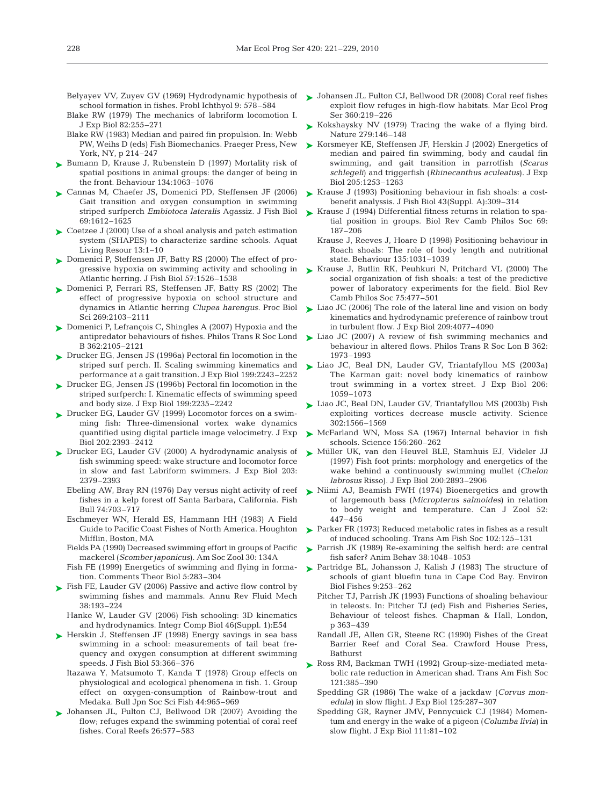- school formation in fishes. Probl Ichthyol 9: 578–584
- Blake RW (1979) The mechanics of labriform locomotion I. J Exp Biol 82:255–271
- Blake RW (1983) Median and paired fin propulsion. In: Webb PW, Weihs D (eds) Fish Biomechanics. Praeger Press, New York, NY, p 214–247
- ► Bumann D, Krause J, Rubenstein D (1997) Mortality risk of spatial positions in animal groups: the danger of being in the front. Behaviour 134:1063–1076
- ► Cannas M, Chaefer JS, Domenici PD, Steffensen JF (2006) Gait transition and oxygen consumption in swimming striped surfperch *Embiotoca lateralis* Agassiz. J Fish Biol 69:1612–1625
- ► Coetzee J (2000) Use of a shoal analysis and patch estimation system (SHAPES) to characterize sardine schools. Aquat Living Resour 13:1–10
- ► Domenici P, Steffensen JF, Batty RS (2000) The effect of progressive hypoxia on swimming activity and schooling in Atlantic herring. J Fish Biol 57:1526–1538
- ► Domenici P, Ferrari RS, Steffensen JF, Batty RS (2002) The effect of progressive hypoxia on school structure and dynamics in Atlantic herring *Clupea harengus.* Proc Biol Sci 269:2103–2111
- ► Domenici P, Lefrançois C, Shingles A (2007) Hypoxia and the antipredator behaviours of fishes. Philos Trans R Soc Lond B 362:2105–2121
- ► Drucker EG, Jensen JS (1996a) Pectoral fin locomotion in the striped surf perch. II. Scaling swimming kinematics and performance at a gait transition. J Exp Biol 199:2243–2252
- ► Drucker EG, Jensen JS (1996b) Pectoral fin locomotion in the striped surfperch: I. Kinematic effects of swimming speed and body size. J Exp Biol 199:2235–2242
- ► Drucker EG, Lauder GV (1999) Locomotor forces on a swimming fish: Three-dimensional vortex wake dynamics quantified using digital particle image velocimetry. J Exp Biol 202:2393–2412
- ▶ Drucker EG, Lauder GV (2000) A hydrodynamic analysis of fish swimming speed: wake structure and locomotor force in slow and fast Labriform swimmers. J Exp Biol 203: 2379–2393
	- Ebeling AW, Bray RN (1976) Day versus night activity of reef fishes in a kelp forest off Santa Barbara, California. Fish Bull 74:703–717
	- Eschmeyer WN, Herald ES, Hammann HH (1983) A Field Guide to Pacific Coast Fishes of North America. Houghton Mifflin, Boston, MA
	- Fields PA (1990) Decreased swimming effort in groups of Pacific mackerel (*Scomber japonicus*). Am Soc Zool 30: 134A
	- tion. Comments Theor Biol 5:283–304
- ► Fish FE, Lauder GV (2006) Passive and active flow control by swimming fishes and mammals. Annu Rev Fluid Mech 38:193–224
	- Hanke W, Lauder GV (2006) Fish schooling: 3D kinematics and hydrodynamics. Integr Comp Biol 46(Suppl. 1):E54
- ▶ Herskin J, Steffensen JF (1998) Energy savings in sea bass swimming in a school: measurements of tail beat frequency and oxygen consumption at different swimming speeds. J Fish Biol 53:366–376
	- Itazawa Y, Matsumoto T, Kanda T (1978) Group effects on physiological and ecological phenomena in fish. 1. Group effect on oxygen-consumption of Rainbow-trout and Medaka. Bull Jpn Soc Sci Fish 44:965–969
- ▶ Johansen JL, Fulton CJ, Bellwood DR (2007) Avoiding the flow; refuges expand the swimming potential of coral reef fishes. Coral Reefs 26:577–583
- Belyayev VV, Zuyev GV (1969) Hydrodynamic hypothesis of  $\blacktriangleright$  Johansen JL, Fulton CJ, Bellwood DR (2008) Coral reef fishes exploit flow refuges in high-flow habitats. Mar Ecol Prog Ser 360:219–226
	- ► Kokshaysky NV (1979) Tracing the wake of a flying bird. Nature 279:146–148
	- ► Korsmeyer KE, Steffensen JF, Herskin J (2002) Energetics of median and paired fin swimming, body and caudal fin swimming, and gait transition in parrotfish (*Scarus schlegeli*) and triggerfish (*Rhinecanthus aculeatus*). J Exp Biol 205:1253–1263
	- ► Krause J (1993) Positioning behaviour in fish shoals: a costbenefit analyssis. J Fish Biol 43(Suppl. A):309–314
	- ► Krause J (1994) Differential fitness returns in relation to spatial position in groups. Biol Rev Camb Philos Soc 69: 187–206
		- Krause J, Reeves J, Hoare D (1998) Positioning behaviour in Roach shoals: The role of body length and nutritional state. Behaviour 135:1031–1039
	- ► Krause J, Butlin RK, Peuhkuri N, Pritchard VL (2000) The social organization of fish shoals: a test of the predictive power of laboratory experiments for the field. Biol Rev Camb Philos Soc 75:477–501
	- ► Liao JC (2006) The role of the lateral line and vision on body kinematics and hydrodynamic preference of rainbow trout in turbulent flow. J Exp Biol 209:4077–4090
	- ► Liao JC (2007) A review of fish swimming mechanics and behaviour in altered flows. Philos Trans R Soc Lon B 362: 1973–1993
	- ► Liao JC, Beal DN, Lauder GV, Triantafyllou MS (2003a) The Karman gait: novel body kinematics of rainbow trout swimming in a vortex street. J Exp Biol 206: 1059–1073
	- Liao JC, Beal DN, Lauder GV, Triantafyllou MS (2003b) Fish ➤ exploiting vortices decrease muscle activity. Science 302:1566–1569
	- ▶ McFarland WN, Moss SA (1967) Internal behavior in fish schools. Science 156:260–262
	- Müller UK, van den Heuvel BLE, Stamhuis EJ, Videler JJ ➤ (1997) Fish foot prints: morphology and energetics of the wake behind a continuously swimming mullet (*Chelon labrosus* Risso). J Exp Biol 200:2893–2906
	- ▶ Niimi AJ, Beamish FWH (1974) Bioenergetics and growth of largemouth bass (*Micropterus salmoides*) in relation to body weight and temperature. Can J Zool 52: 447–456
	- ► Parker FR (1973) Reduced metabolic rates in fishes as a result of induced schooling. Trans Am Fish Soc 102:125–131
	- ▶ Parrish JK (1989) Re-examining the selfish herd: are central fish safer? Anim Behav 38:1048–1053
- Fish FE (1999) Energetics of swimming and flying in forma-  $\quad$  Partridge BL, Johansson J, Kalish J (1983) The structure of schools of giant bluefin tuna in Cape Cod Bay. Environ Biol Fishes 9:253–262
	- Pitcher TJ, Parrish JK (1993) Functions of shoaling behaviour in teleosts. In: Pitcher TJ (ed) Fish and Fisheries Series, Behaviour of teleost fishes. Chapman & Hall, London, p 363–439
	- Randall JE, Allen GR, Steene RC (1990) Fishes of the Great Barrier Reef and Coral Sea. Crawford House Press, Bathurst
	- ► Ross RM, Backman TWH (1992) Group-size-mediated metabolic rate reduction in American shad. Trans Am Fish Soc 121:385–390
		- Spedding GR (1986) The wake of a jackdaw (*Corvus monedula*) in slow flight. J Exp Biol 125:287–307
		- Spedding GR, Rayner JMV, Pennycuick CJ (1984) Momentum and energy in the wake of a pigeon (*Columba livia*) in slow flight. J Exp Biol 111:81–102